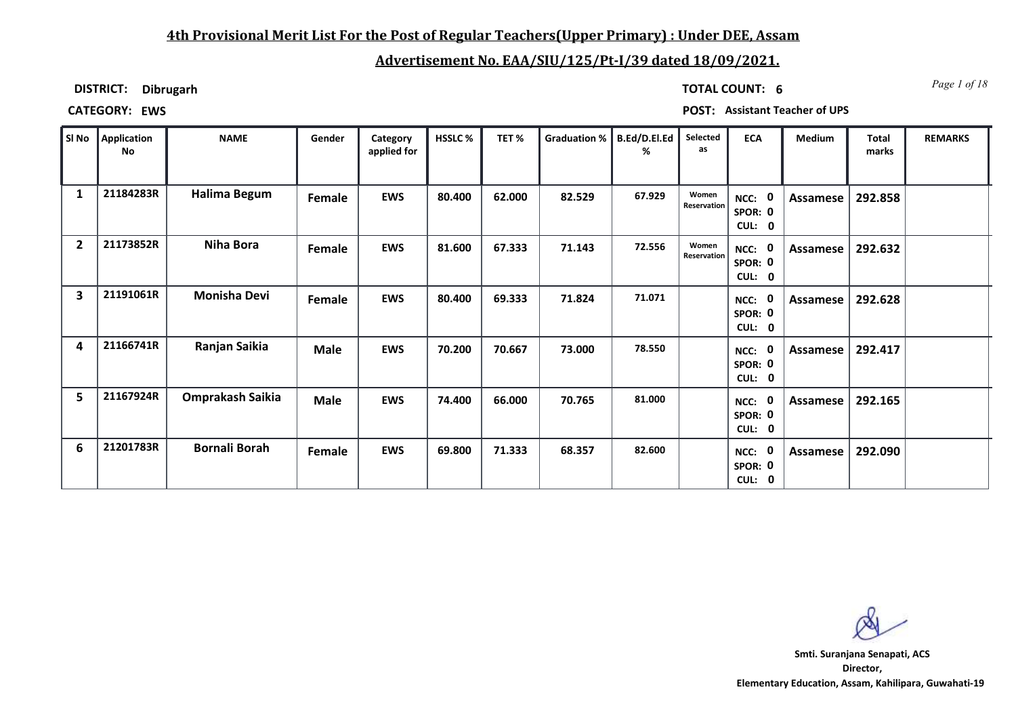## **4th Provisional Merit List For the Post of Regular Teachers(Upper Primary) : Under DEE, Assam**

# **Advertisement No. EAA/SIU/125/Pt-I/39 dated 18/09/2021.**

**DISTRICT: Dibrugarh**

*Page 1 of 18* **TOTAL COUNT: 6**

**CATEGORY: EWS POST: Assistant Teacher of UPS**

| SI No          | Application<br>No | <b>NAME</b>             | Gender      | Category<br>applied for | <b>HSSLC %</b> | TET%   | Graduation %   B.Ed/D.El.Ed | %      | Selected<br>as       | <b>ECA</b>                       | <b>Medium</b> | <b>Total</b><br>marks | <b>REMARKS</b> |
|----------------|-------------------|-------------------------|-------------|-------------------------|----------------|--------|-----------------------------|--------|----------------------|----------------------------------|---------------|-----------------------|----------------|
| 1              | 21184283R         | Halima Begum            | Female      | <b>EWS</b>              | 80.400         | 62.000 | 82.529                      | 67.929 | Women<br>Reservation | - 0<br>NCC:<br>SPOR: 0<br>CUL: 0 | Assamese      | 292.858               |                |
| $\overline{2}$ | 21173852R         | Niha Bora               | Female      | <b>EWS</b>              | 81.600         | 67.333 | 71.143                      | 72.556 | Women<br>Reservation | - 0<br>NCC:<br>SPOR: 0<br>CUL: 0 | Assamese      | 292.632               |                |
| 3              | 21191061R         | <b>Monisha Devi</b>     | Female      | <b>EWS</b>              | 80.400         | 69.333 | 71.824                      | 71.071 |                      | NCC:<br>SPOR: 0<br>CUL: 0        | Assamese      | 292.628               |                |
| 4              | 21166741R         | Ranjan Saikia           | <b>Male</b> | <b>EWS</b>              | 70.200         | 70.667 | 73.000                      | 78.550 |                      | 0<br>NCC:<br>SPOR: 0<br>CUL: 0   | Assamese      | 292.417               |                |
| 5              | 21167924R         | <b>Omprakash Saikia</b> | <b>Male</b> | <b>EWS</b>              | 74.400         | 66.000 | 70.765                      | 81.000 |                      | 0<br>NCC:<br>SPOR: 0<br>CUL: 0   | Assamese      | 292.165               |                |
| 6              | 21201783R         | <b>Bornali Borah</b>    | Female      | <b>EWS</b>              | 69.800         | 71.333 | 68.357                      | 82.600 |                      | 0<br>NCC:<br>SPOR: 0<br>CUL: 0   | Assamese      | 292.090               |                |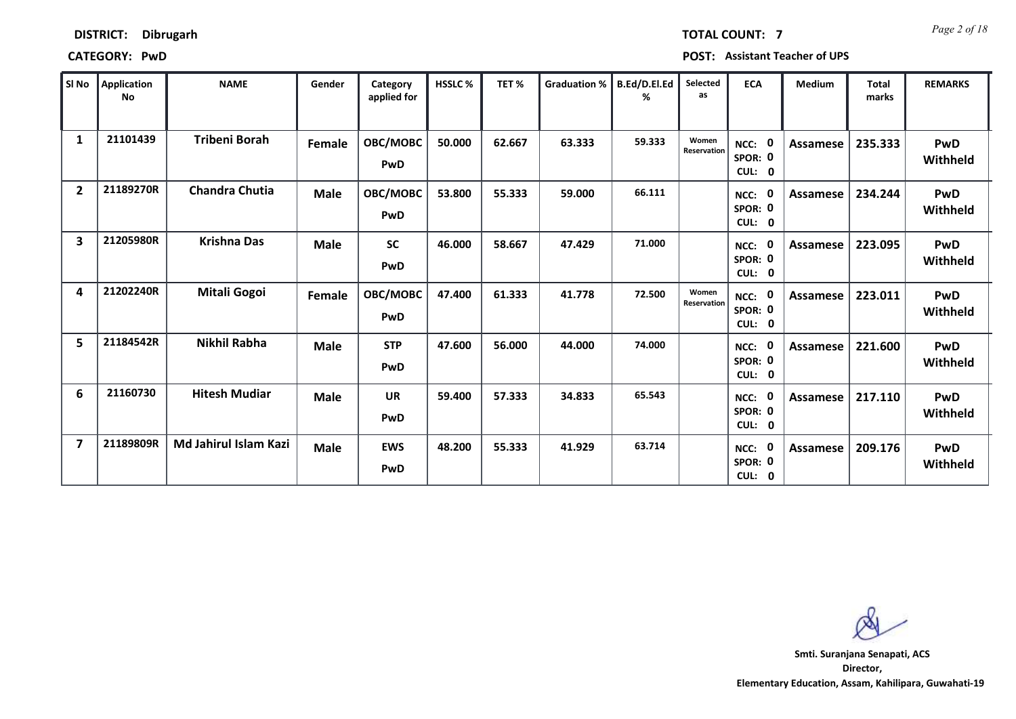| l SI No        | Application<br>No | <b>NAME</b>           | Gender      | Category<br>applied for | HSSLC% | TET%   | <b>Graduation %</b> | B.Ed/D.El.Ed<br>℅ | Selected<br>as       | <b>ECA</b>                       | <b>Medium</b>   | <b>Total</b><br>marks | <b>REMARKS</b>         |
|----------------|-------------------|-----------------------|-------------|-------------------------|--------|--------|---------------------|-------------------|----------------------|----------------------------------|-----------------|-----------------------|------------------------|
| 1              | 21101439          | <b>Tribeni Borah</b>  | Female      | OBC/MOBC<br>PwD         | 50.000 | 62.667 | 63.333              | 59.333            | Women<br>Reservation | 0<br>NCC:<br>SPOR: 0<br>CUL: 0   | <b>Assamese</b> | 235.333               | <b>PwD</b><br>Withheld |
| $\overline{2}$ | 21189270R         | <b>Chandra Chutia</b> | <b>Male</b> | OBC/MOBC<br>PwD         | 53.800 | 55.333 | 59.000              | 66.111            |                      | - 0<br>NCC:<br>SPOR: 0<br>CUL: 0 | <b>Assamese</b> | 234.244               | PwD<br>Withheld        |
| 3              | 21205980R         | <b>Krishna Das</b>    | <b>Male</b> | <b>SC</b><br>PwD        | 46.000 | 58.667 | 47.429              | 71.000            |                      | 0<br>NCC:<br>SPOR: 0<br>CUL: 0   | Assamese        | 223.095               | <b>PwD</b><br>Withheld |
| 4              | 21202240R         | <b>Mitali Gogoi</b>   | Female      | OBC/MOBC<br>PwD         | 47.400 | 61.333 | 41.778              | 72.500            | Women<br>Reservation | 0<br>NCC:<br>SPOR: 0<br>CUL: 0   | <b>Assamese</b> | 223.011               | PwD<br>Withheld        |
| 5              | 21184542R         | Nikhil Rabha          | <b>Male</b> | <b>STP</b><br>PwD       | 47.600 | 56.000 | 44.000              | 74.000            |                      | 0<br>NCC:<br>SPOR: 0<br>CUL: 0   | Assamese        | 221.600               | PwD<br>Withheld        |
| 6              | 21160730          | <b>Hitesh Mudiar</b>  | <b>Male</b> | <b>UR</b><br>PwD        | 59.400 | 57.333 | 34.833              | 65.543            |                      | 0<br>NCC:<br>SPOR: 0<br>CUL: 0   | Assamese        | 217.110               | <b>PwD</b><br>Withheld |
| 7              | 21189809R         | Md Jahirul Islam Kazi | <b>Male</b> | <b>EWS</b><br>PwD       | 48.200 | 55.333 | 41.929              | 63.714            |                      | 0<br>NCC:<br>SPOR: 0<br>CUL: 0   | Assamese        | 209.176               | <b>PwD</b><br>Withheld |

**Director, Elementary Education, Assam, Kahilipara, Guwahati-19 Smti. Suranjana Senapati, ACS**

*Page 2 of 18* **TOTAL COUNT: 7**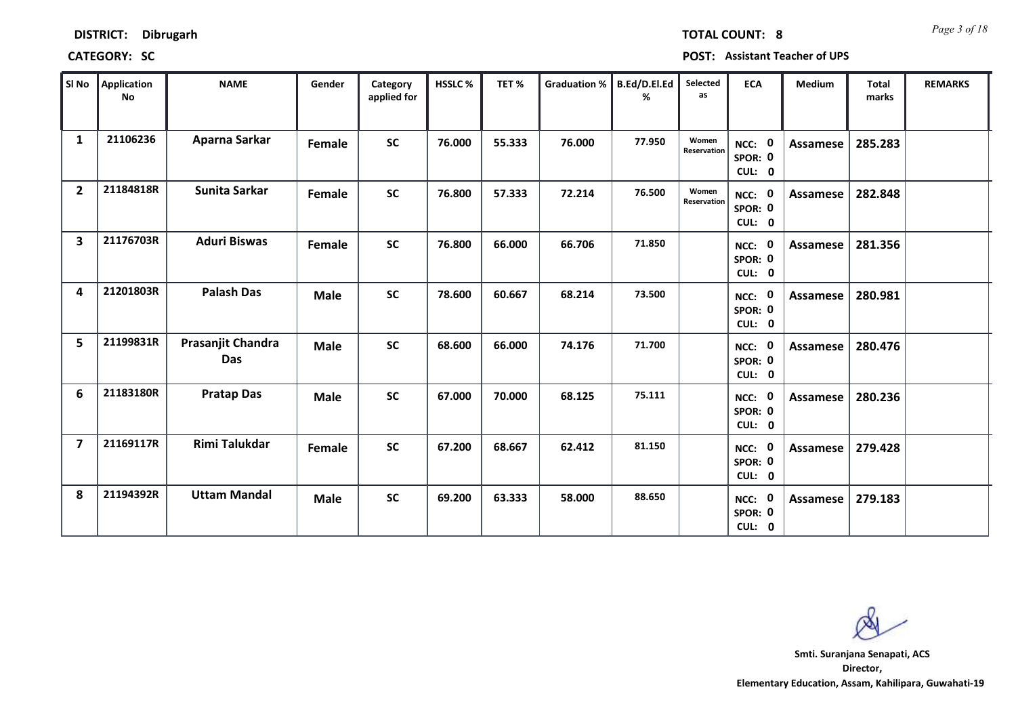*Page 3 of 18* **TOTAL COUNT: 8**

**CATEGORY: SC POST: Assistant Teacher of UPS**

| SI No          | Application<br>No | <b>NAME</b>                     | Gender      | Category<br>applied for | HSSLC % | TET%   | Graduation % | B.Ed/D.El.Ed<br>% | Selected<br>as       | <b>ECA</b>                  | <b>Medium</b>   | <b>Total</b><br>marks | <b>REMARKS</b> |
|----------------|-------------------|---------------------------------|-------------|-------------------------|---------|--------|--------------|-------------------|----------------------|-----------------------------|-----------------|-----------------------|----------------|
| $\mathbf{1}$   | 21106236          | Aparna Sarkar                   | Female      | <b>SC</b>               | 76.000  | 55.333 | 76.000       | 77.950            | Women<br>Reservation | NCC: 0<br>SPOR: 0<br>CUL: 0 | <b>Assamese</b> | 285.283               |                |
| $\overline{2}$ | 21184818R         | Sunita Sarkar                   | Female      | <b>SC</b>               | 76.800  | 57.333 | 72.214       | 76.500            | Women<br>Reservation | NCC: 0<br>SPOR: 0<br>CUL: 0 | <b>Assamese</b> | 282.848               |                |
| 3              | 21176703R         | <b>Aduri Biswas</b>             | Female      | <b>SC</b>               | 76.800  | 66.000 | 66.706       | 71.850            |                      | NCC: 0<br>SPOR: 0<br>CUL: 0 | <b>Assamese</b> | 281.356               |                |
| 4              | 21201803R         | <b>Palash Das</b>               | <b>Male</b> | <b>SC</b>               | 78.600  | 60.667 | 68.214       | 73.500            |                      | NCC: 0<br>SPOR: 0<br>CUL: 0 | Assamese        | 280.981               |                |
| 5              | 21199831R         | Prasanjit Chandra<br><b>Das</b> | <b>Male</b> | <b>SC</b>               | 68.600  | 66.000 | 74.176       | 71.700            |                      | NCC: 0<br>SPOR: 0<br>CUL: 0 | Assamese        | 280.476               |                |
| 6              | 21183180R         | <b>Pratap Das</b>               | <b>Male</b> | <b>SC</b>               | 67.000  | 70.000 | 68.125       | 75.111            |                      | NCC: 0<br>SPOR: 0<br>CUL: 0 | <b>Assamese</b> | 280.236               |                |
| $\overline{7}$ | 21169117R         | <b>Rimi Talukdar</b>            | Female      | <b>SC</b>               | 67.200  | 68.667 | 62.412       | 81.150            |                      | NCC: 0<br>SPOR: 0<br>CUL: 0 | Assamese        | 279.428               |                |
| 8              | 21194392R         | <b>Uttam Mandal</b>             | <b>Male</b> | <b>SC</b>               | 69.200  | 63.333 | 58.000       | 88.650            |                      | NCC: 0<br>SPOR: 0<br>CUL: 0 | Assamese        | 279.183               |                |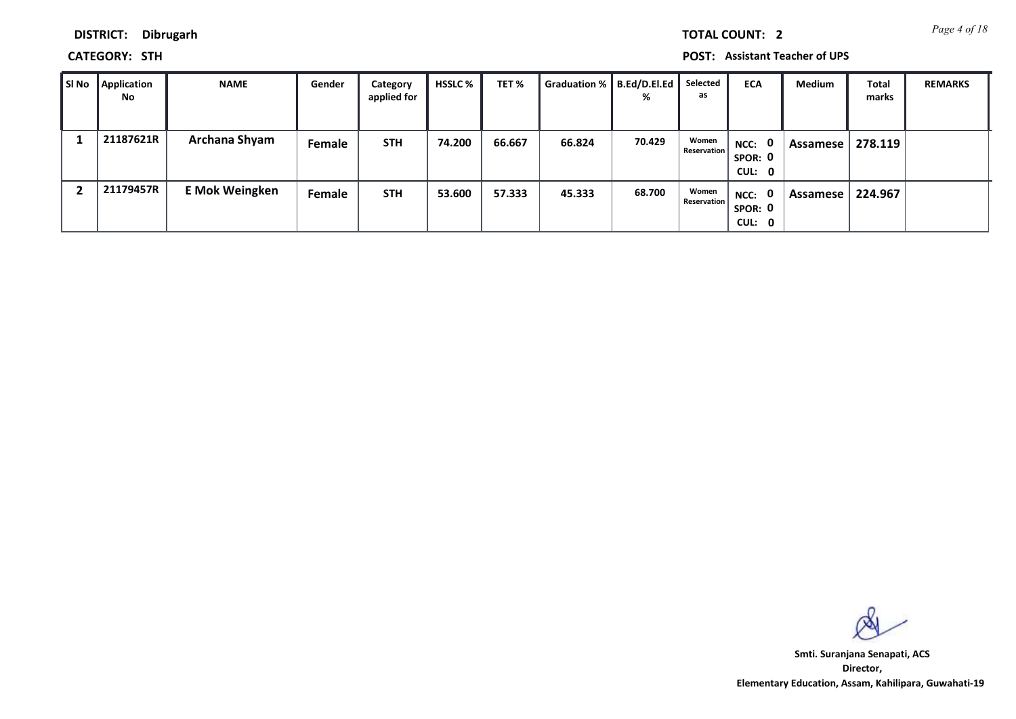*Page 4 of 18* **TOTAL COUNT: 2**

**DISTRICT: Dibrugarh**

**CATEGORY: STH POST: Assistant Teacher of UPS**

| ∥ SI No | Application<br><b>No</b> | <b>NAME</b>           | Gender | Category<br>applied for | HSSLC % | TET %  | Graduation %   B.Ed/D.El.Ed | %      | Selected<br>as              | <b>ECA</b>                  | Medium     | <b>Total</b><br>marks | <b>REMARKS</b> |
|---------|--------------------------|-----------------------|--------|-------------------------|---------|--------|-----------------------------|--------|-----------------------------|-----------------------------|------------|-----------------------|----------------|
|         | 21187621R                | Archana Shyam         | Female | <b>STH</b>              | 74.200  | 66.667 | 66.824                      | 70.429 | Women<br><b>Reservation</b> | NCC: 0<br>SPOR: 0<br>CUL: 0 | Assamese!  | 278.119               |                |
|         | 21179457R                | <b>E Mok Weingken</b> | Female | <b>STH</b>              | 53.600  | 57.333 | 45.333                      | 68.700 | Women<br><b>Reservation</b> | NCC: 0<br>SPOR: 0<br>CUL: 0 | Assamese l | 224.967               |                |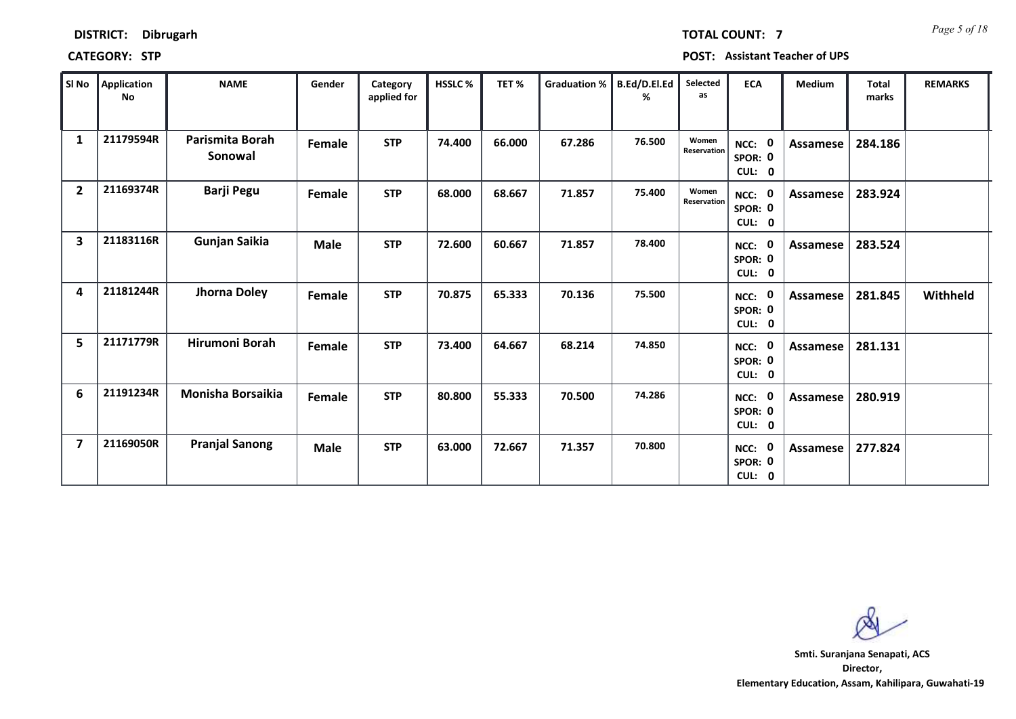| SI No          | Application<br><b>No</b> | <b>NAME</b>                | Gender      | Category<br>applied for | <b>HSSLC%</b> | TET%   | <b>Graduation %</b> | B.Ed/D.El.Ed<br>% | Selected<br>as       | <b>ECA</b>                               | <b>Medium</b> | <b>Total</b><br>marks | <b>REMARKS</b> |
|----------------|--------------------------|----------------------------|-------------|-------------------------|---------------|--------|---------------------|-------------------|----------------------|------------------------------------------|---------------|-----------------------|----------------|
| 1              | 21179594R                | Parismita Borah<br>Sonowal | Female      | <b>STP</b>              | 74.400        | 66.000 | 67.286              | 76.500            | Women<br>Reservation | $\mathbf 0$<br>NCC:<br>SPOR: 0<br>CUL: 0 | Assamese      | 284.186               |                |
| $\overline{2}$ | 21169374R                | <b>Barji Pegu</b>          | Female      | <b>STP</b>              | 68.000        | 68.667 | 71.857              | 75.400            | Women<br>Reservation | NCC: 0<br>SPOR: 0<br>CUL: 0              | Assamese      | 283.924               |                |
| 3              | 21183116R                | Gunjan Saikia              | <b>Male</b> | <b>STP</b>              | 72.600        | 60.667 | 71.857              | 78.400            |                      | NCC: 0<br>SPOR: 0<br>CUL:<br>$\mathbf 0$ | Assamese      | 283.524               |                |
| 4              | 21181244R                | Jhorna Doley               | Female      | <b>STP</b>              | 70.875        | 65.333 | 70.136              | 75.500            |                      | $\mathbf 0$<br>NCC:<br>SPOR: 0<br>CUL: 0 | Assamese      | 281.845               | Withheld       |
| 5              | 21171779R                | Hirumoni Borah             | Female      | <b>STP</b>              | 73.400        | 64.667 | 68.214              | 74.850            |                      | $\mathbf 0$<br>NCC:<br>SPOR: 0<br>CUL: 0 | Assamese      | 281.131               |                |
| 6              | 21191234R                | <b>Monisha Borsaikia</b>   | Female      | <b>STP</b>              | 80.800        | 55.333 | 70.500              | 74.286            |                      | $\mathbf 0$<br>NCC:<br>SPOR: 0<br>CUL: 0 | Assamese      | 280.919               |                |
| $\overline{7}$ | 21169050R                | <b>Pranjal Sanong</b>      | <b>Male</b> | <b>STP</b>              | 63.000        | 72.667 | 71.357              | 70.800            |                      | $\mathbf 0$<br>NCC:<br>SPOR: 0<br>CUL: 0 | Assamese      | 277.824               |                |

**Director, Elementary Education, Assam, Kahilipara, Guwahati-19 Smti. Suranjana Senapati, ACS**

*Page 5 of 18* **TOTAL COUNT: 7**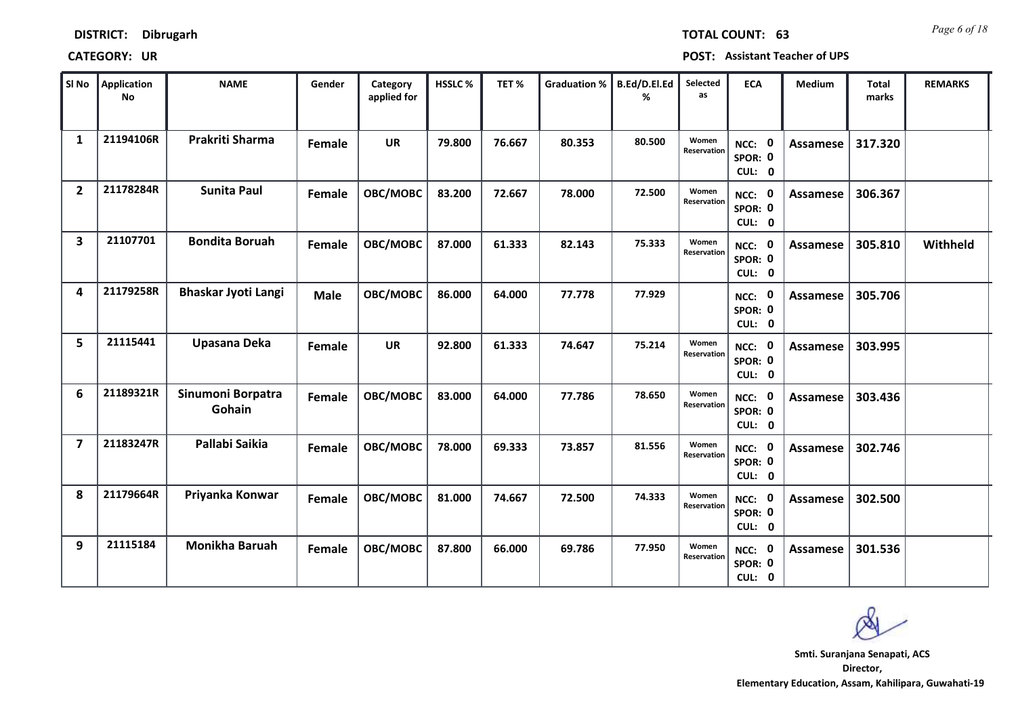| SI No          | <b>Application</b><br>No | <b>NAME</b>                 | Gender      | Category<br>applied for | <b>HSSLC%</b> | TET%   | <b>Graduation %</b> | B.Ed/D.El.Ed<br>% | Selected<br>as       | <b>ECA</b>                               | <b>Medium</b>   | <b>Total</b><br>marks | <b>REMARKS</b> |
|----------------|--------------------------|-----------------------------|-------------|-------------------------|---------------|--------|---------------------|-------------------|----------------------|------------------------------------------|-----------------|-----------------------|----------------|
| 1              | 21194106R                | Prakriti Sharma             | Female      | <b>UR</b>               | 79.800        | 76.667 | 80.353              | 80.500            | Women<br>Reservation | NCC: 0<br>SPOR: 0<br>CUL: 0              | <b>Assamese</b> | 317.320               |                |
| $\overline{2}$ | 21178284R                | <b>Sunita Paul</b>          | Female      | OBC/MOBC                | 83.200        | 72.667 | 78.000              | 72.500            | Women<br>Reservation | NCC: 0<br>SPOR: 0<br>CUL: 0              | <b>Assamese</b> | 306.367               |                |
| 3              | 21107701                 | <b>Bondita Boruah</b>       | Female      | OBC/MOBC                | 87.000        | 61.333 | 82.143              | 75.333            | Women<br>Reservation | NCC: 0<br>SPOR: 0<br>CUL: 0              | Assamese        | 305.810               | Withheld       |
| 4              | 21179258R                | <b>Bhaskar Jyoti Langi</b>  | <b>Male</b> | OBC/MOBC                | 86.000        | 64.000 | 77.778              | 77.929            |                      | $\mathbf 0$<br>NCC:<br>SPOR: 0<br>CUL: 0 | <b>Assamese</b> | 305.706               |                |
| 5              | 21115441                 | Upasana Deka                | Female      | <b>UR</b>               | 92.800        | 61.333 | 74.647              | 75.214            | Women<br>Reservation | NCC: 0<br>SPOR: 0<br>CUL: 0              | Assamese        | 303.995               |                |
| 6              | 21189321R                | Sinumoni Borpatra<br>Gohain | Female      | OBC/MOBC                | 83.000        | 64.000 | 77.786              | 78.650            | Women<br>Reservation | NCC: 0<br>SPOR: 0<br>CUL: 0              | Assamese        | 303.436               |                |
| 7              | 21183247R                | Pallabi Saikia              | Female      | OBC/MOBC                | 78.000        | 69.333 | 73.857              | 81.556            | Women<br>Reservation | NCC: 0<br>SPOR: 0<br>CUL: 0              | Assamese        | 302.746               |                |
| 8              | 21179664R                | Priyanka Konwar             | Female      | OBC/MOBC                | 81.000        | 74.667 | 72.500              | 74.333            | Women<br>Reservation | NCC: 0<br>SPOR: 0<br>CUL: 0              | Assamese        | 302.500               |                |
| 9              | 21115184                 | <b>Monikha Baruah</b>       | Female      | OBC/MOBC                | 87.800        | 66.000 | 69.786              | 77.950            | Women<br>Reservation | NCC: 0<br>SPOR: 0<br>CUL: 0              | Assamese        | 301.536               |                |

*Page 6 of 18* **TOTAL COUNT: 63**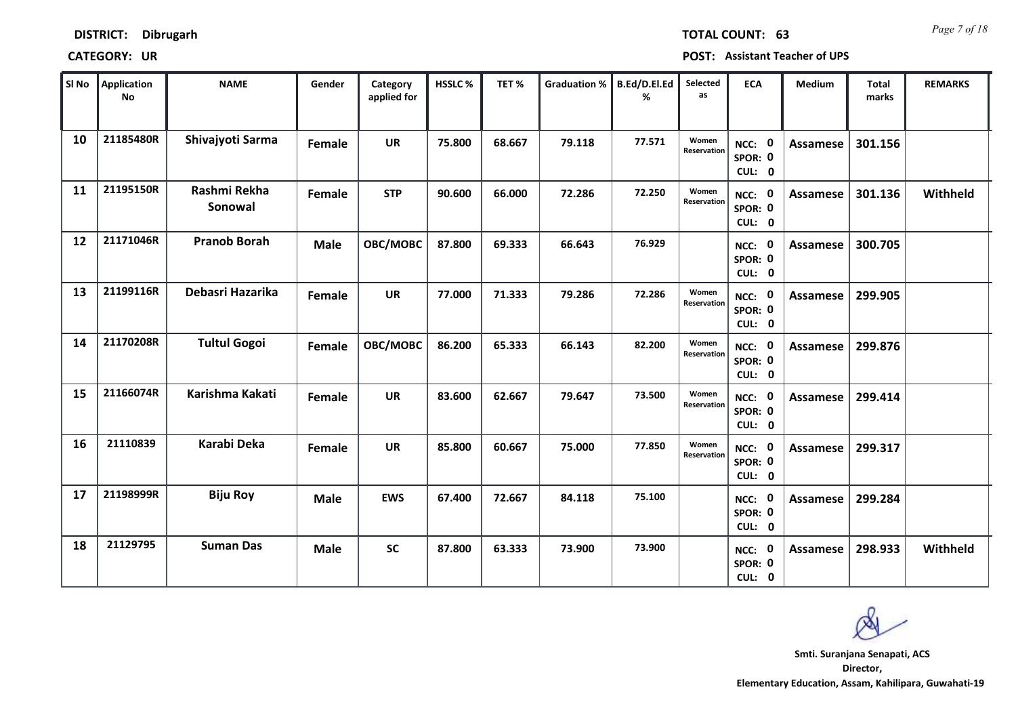| SI No | Application<br><b>No</b> | <b>NAME</b>             | Gender      | Category<br>applied for | <b>HSSLC%</b> | TET%   | <b>Graduation %</b> | B.Ed/D.El.Ed<br>% | Selected<br>as       | <b>ECA</b>                  | <b>Medium</b>   | <b>Total</b><br>marks | <b>REMARKS</b> |
|-------|--------------------------|-------------------------|-------------|-------------------------|---------------|--------|---------------------|-------------------|----------------------|-----------------------------|-----------------|-----------------------|----------------|
| 10    | 21185480R                | Shivajyoti Sarma        | Female      | <b>UR</b>               | 75.800        | 68.667 | 79.118              | 77.571            | Women<br>Reservation | NCC: 0<br>SPOR: 0<br>CUL: 0 | <b>Assamese</b> | 301.156               |                |
| 11    | 21195150R                | Rashmi Rekha<br>Sonowal | Female      | <b>STP</b>              | 90.600        | 66.000 | 72.286              | 72.250            | Women<br>Reservation | NCC: 0<br>SPOR: 0<br>CUL: 0 | Assamese        | 301.136               | Withheld       |
| 12    | 21171046R                | <b>Pranob Borah</b>     | <b>Male</b> | OBC/MOBC                | 87.800        | 69.333 | 66.643              | 76.929            |                      | NCC: 0<br>SPOR: 0<br>CUL: 0 | Assamese        | 300.705               |                |
| 13    | 21199116R                | Debasri Hazarika        | Female      | <b>UR</b>               | 77.000        | 71.333 | 79.286              | 72.286            | Women<br>Reservation | NCC: 0<br>SPOR: 0<br>CUL: 0 | Assamese        | 299.905               |                |
| 14    | 21170208R                | <b>Tultul Gogoi</b>     | Female      | OBC/MOBC                | 86.200        | 65.333 | 66.143              | 82.200            | Women<br>Reservation | NCC: 0<br>SPOR: 0<br>CUL: 0 | Assamese        | 299.876               |                |
| 15    | 21166074R                | Karishma Kakati         | Female      | <b>UR</b>               | 83.600        | 62.667 | 79.647              | 73.500            | Women<br>Reservation | NCC: 0<br>SPOR: 0<br>CUL: 0 | <b>Assamese</b> | 299.414               |                |
| 16    | 21110839                 | <b>Karabi Deka</b>      | Female      | <b>UR</b>               | 85.800        | 60.667 | 75.000              | 77.850            | Women<br>Reservation | NCC: 0<br>SPOR: 0<br>CUL: 0 | <b>Assamese</b> | 299.317               |                |
| 17    | 21198999R                | <b>Biju Roy</b>         | <b>Male</b> | <b>EWS</b>              | 67.400        | 72.667 | 84.118              | 75.100            |                      | NCC: 0<br>SPOR: 0<br>CUL: 0 | Assamese        | 299.284               |                |
| 18    | 21129795                 | <b>Suman Das</b>        | <b>Male</b> | SC                      | 87.800        | 63.333 | 73.900              | 73.900            |                      | NCC: 0<br>SPOR: 0<br>CUL: 0 | Assamese        | 298.933               | Withheld       |

*Page 7 of 18* **TOTAL COUNT: 63**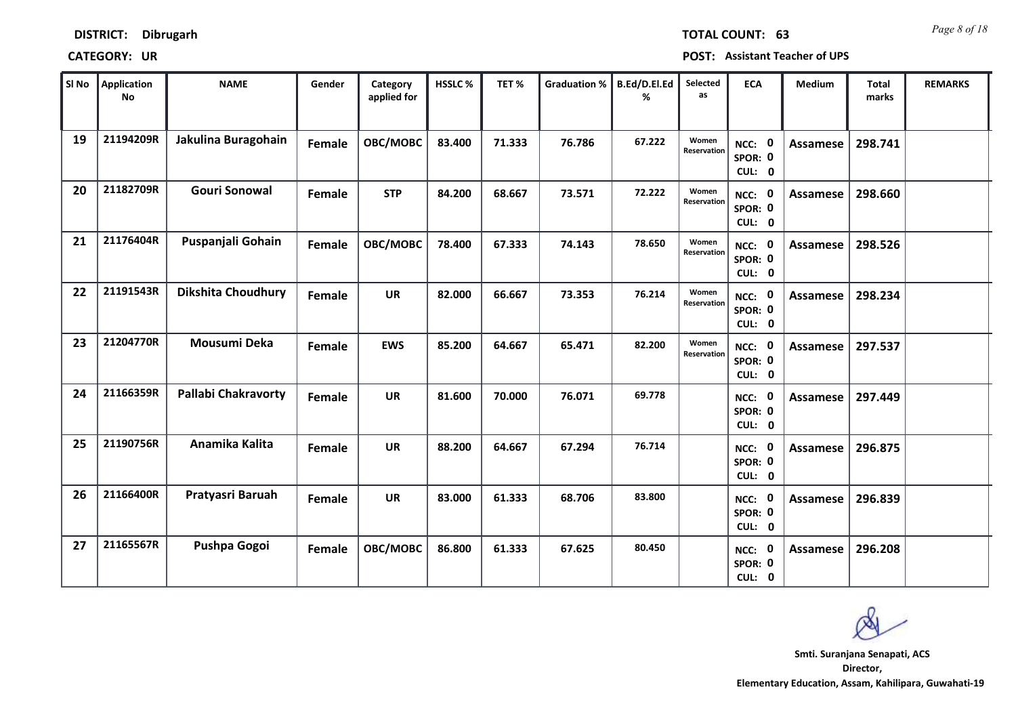| DISTRICT: | Dibrugarh |
|-----------|-----------|
|-----------|-----------|

| <b>DISINICI.</b> DIDIUXAIII |  | LUIAL CUUNI. DJ                       |
|-----------------------------|--|---------------------------------------|
| <b>CATEGORY: UR</b>         |  | <b>POST: Assistant Teacher of UPS</b> |

| $ $ SI No $ $ | <b>Application</b><br><b>No</b> | <b>NAME</b>                | Gender | Category<br>applied for | <b>HSSLC%</b> | TET%   | <b>Graduation %</b> | B.Ed/D.El.Ed<br>℅ | Selected<br>as       | <b>ECA</b>                               | <b>Medium</b>   | <b>Total</b><br>marks | <b>REMARKS</b> |
|---------------|---------------------------------|----------------------------|--------|-------------------------|---------------|--------|---------------------|-------------------|----------------------|------------------------------------------|-----------------|-----------------------|----------------|
| 19            | 21194209R                       | Jakulina Buragohain        | Female | OBC/MOBC                | 83.400        | 71.333 | 76.786              | 67.222            | Women<br>Reservation | $\mathbf 0$<br>NCC:<br>SPOR: 0<br>CUL: 0 | Assamese        | 298.741               |                |
| 20            | 21182709R                       | <b>Gouri Sonowal</b>       | Female | <b>STP</b>              | 84.200        | 68.667 | 73.571              | 72.222            | Women<br>Reservation | NCC: 0<br>SPOR: 0<br>CUL: 0              | Assamese        | 298.660               |                |
| 21            | 21176404R                       | Puspanjali Gohain          | Female | OBC/MOBC                | 78.400        | 67.333 | 74.143              | 78.650            | Women<br>Reservation | NCC: 0<br>SPOR: 0<br>CUL: 0              | Assamese        | 298.526               |                |
| 22            | 21191543R                       | <b>Dikshita Choudhury</b>  | Female | <b>UR</b>               | 82.000        | 66.667 | 73.353              | 76.214            | Women<br>Reservation | $\mathbf 0$<br>NCC:<br>SPOR: 0<br>CUL: 0 | Assamese        | 298.234               |                |
| 23            | 21204770R                       | Mousumi Deka               | Female | <b>EWS</b>              | 85.200        | 64.667 | 65.471              | 82.200            | Women<br>Reservation | NCC: 0<br>SPOR: 0<br>CUL: 0              | Assamese        | 297.537               |                |
| 24            | 21166359R                       | <b>Pallabi Chakravorty</b> | Female | <b>UR</b>               | 81.600        | 70.000 | 76.071              | 69.778            |                      | NCC: 0<br>SPOR: 0<br>CUL: 0              | Assamese        | 297.449               |                |
| 25            | 21190756R                       | Anamika Kalita             | Female | <b>UR</b>               | 88.200        | 64.667 | 67.294              | 76.714            |                      | NCC: 0<br>SPOR: 0<br>CUL: 0              | Assamese        | 296.875               |                |
| 26            | 21166400R                       | Pratyasri Baruah           | Female | <b>UR</b>               | 83.000        | 61.333 | 68.706              | 83.800            |                      | $\mathbf 0$<br>NCC:<br>SPOR: 0<br>CUL: 0 | <b>Assamese</b> | 296.839               |                |
| 27            | 21165567R                       | Pushpa Gogoi               | Female | OBC/MOBC                | 86.800        | 61.333 | 67.625              | 80.450            |                      | 0<br>NCC:<br>SPOR: 0<br>CUL: 0           | Assamese        | 296.208               |                |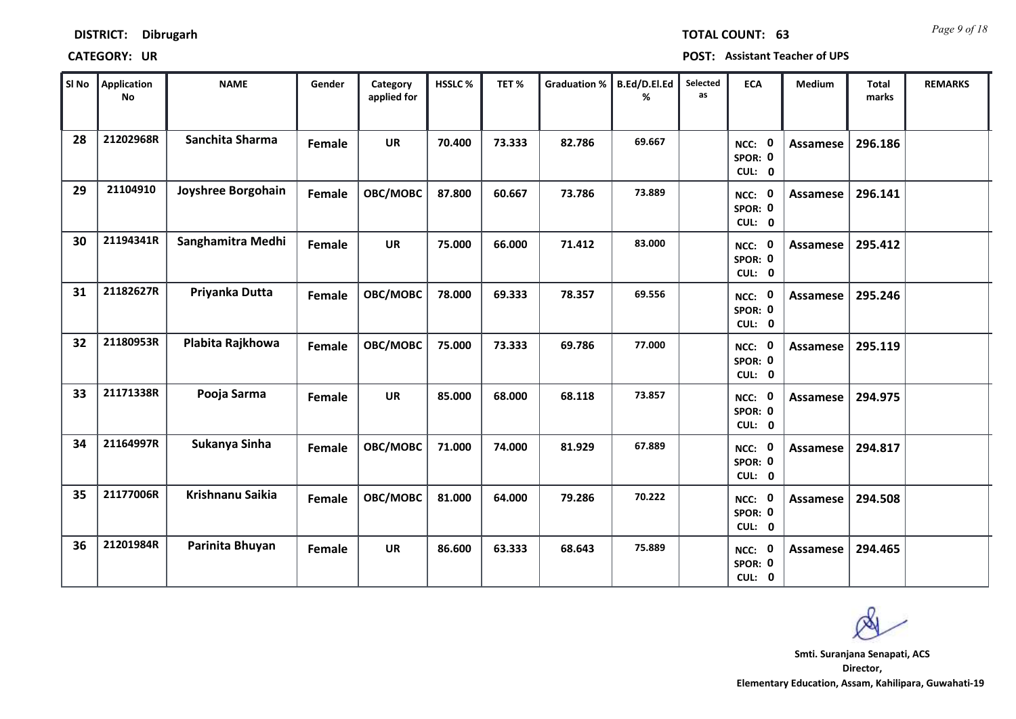| $\vert$ SI No $\vert$ | <b>Application</b><br><b>No</b> | <b>NAME</b>        | Gender | Category<br>applied for | HSSLC% | TET%   | Graduation % | B.Ed/D.El.Ed<br>℅ | Selected<br>as | <b>ECA</b>                               | Medium          | <b>Total</b><br>marks | <b>REMARKS</b> |
|-----------------------|---------------------------------|--------------------|--------|-------------------------|--------|--------|--------------|-------------------|----------------|------------------------------------------|-----------------|-----------------------|----------------|
| 28                    | 21202968R                       | Sanchita Sharma    | Female | <b>UR</b>               | 70.400 | 73.333 | 82.786       | 69.667            |                | $\mathbf 0$<br>NCC:<br>SPOR: 0<br>CUL: 0 | <b>Assamese</b> | 296.186               |                |
| 29                    | 21104910                        | Joyshree Borgohain | Female | OBC/MOBC                | 87.800 | 60.667 | 73.786       | 73.889            |                | NCC: 0<br>SPOR: 0<br>CUL: 0              | Assamese        | 296.141               |                |
| 30                    | 21194341R                       | Sanghamitra Medhi  | Female | <b>UR</b>               | 75.000 | 66.000 | 71.412       | 83.000            |                | NCC: 0<br>SPOR: 0<br>CUL: 0              | Assamese        | 295.412               |                |
| 31                    | 21182627R                       | Priyanka Dutta     | Female | OBC/MOBC                | 78.000 | 69.333 | 78.357       | 69.556            |                | $\mathbf 0$<br>NCC:<br>SPOR: 0<br>CUL: 0 | Assamese        | 295.246               |                |
| 32                    | 21180953R                       | Plabita Rajkhowa   | Female | OBC/MOBC                | 75.000 | 73.333 | 69.786       | 77.000            |                | NCC: 0<br>SPOR: 0<br>CUL: 0              | Assamese        | 295.119               |                |
| 33                    | 21171338R                       | Pooja Sarma        | Female | <b>UR</b>               | 85.000 | 68.000 | 68.118       | 73.857            |                | NCC: 0<br>SPOR: 0<br>CUL: 0              | Assamese        | 294.975               |                |
| 34                    | 21164997R                       | Sukanya Sinha      | Female | OBC/MOBC                | 71.000 | 74.000 | 81.929       | 67.889            |                | NCC: 0<br>SPOR: 0<br>CUL: 0              | Assamese        | 294.817               |                |
| 35                    | 21177006R                       | Krishnanu Saikia   | Female | OBC/MOBC                | 81.000 | 64.000 | 79.286       | 70.222            |                | <b>NCC: 0</b><br>SPOR: 0<br>CUL: 0       | Assamese        | 294.508               |                |
| 36                    | 21201984R                       | Parinita Bhuyan    | Female | <b>UR</b>               | 86.600 | 63.333 | 68.643       | 75.889            |                | $\mathbf 0$<br>NCC:<br>SPOR: 0<br>CUL: 0 | Assamese        | 294.465               |                |

**Director, Elementary Education, Assam, Kahilipara, Guwahati-19 Smti. Suranjana Senapati, ACS**

*Page 9 of 18* **TOTAL COUNT: 63**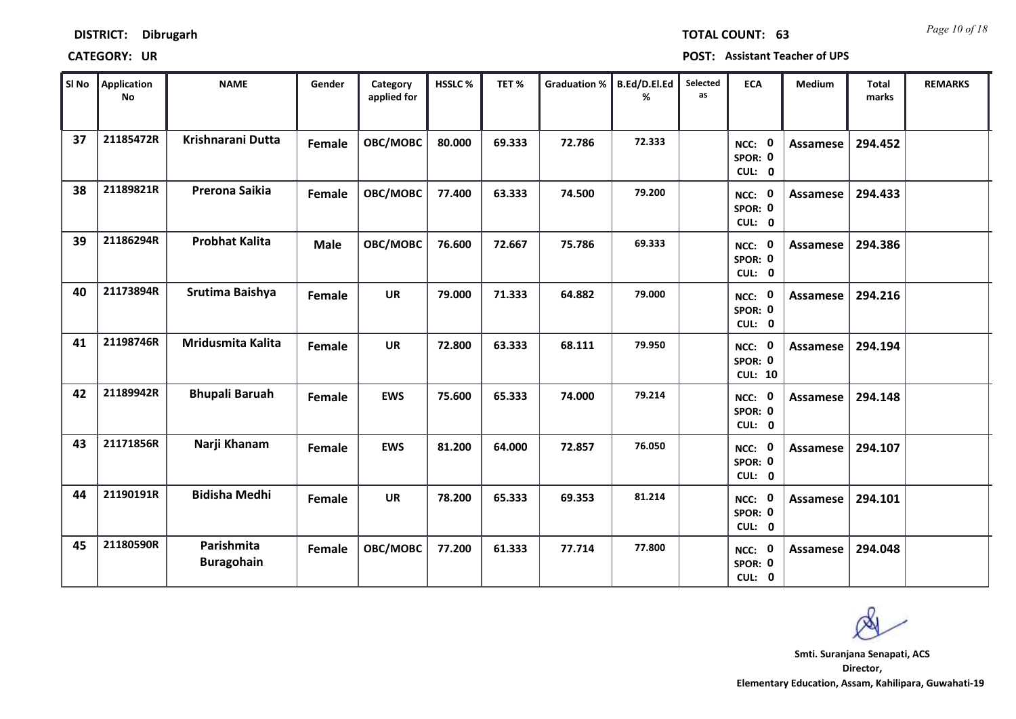| ∥ SI No | <b>Application</b><br><b>No</b> | <b>NAME</b>                     | Gender      | Category<br>applied for | HSSLC% | TET%   | <b>Graduation %</b> | B.Ed/D.El.Ed<br>% | Selected<br>as | <b>ECA</b>                               | <b>Medium</b>   | <b>Total</b><br>marks | <b>REMARKS</b> |
|---------|---------------------------------|---------------------------------|-------------|-------------------------|--------|--------|---------------------|-------------------|----------------|------------------------------------------|-----------------|-----------------------|----------------|
| 37      | 21185472R                       | Krishnarani Dutta               | Female      | OBC/MOBC                | 80.000 | 69.333 | 72.786              | 72.333            |                | $\mathbf 0$<br>NCC:<br>SPOR: 0<br>CUL: 0 | <b>Assamese</b> | 294.452               |                |
| 38      | 21189821R                       | Prerona Saikia                  | Female      | OBC/MOBC                | 77.400 | 63.333 | 74.500              | 79.200            |                | 0<br>NCC:<br>SPOR: 0<br>CUL: 0           | Assamese        | 294.433               |                |
| 39      | 21186294R                       | <b>Probhat Kalita</b>           | <b>Male</b> | OBC/MOBC                | 76.600 | 72.667 | 75.786              | 69.333            |                | NCC: 0<br>SPOR: 0<br>CUL: 0              | <b>Assamese</b> | 294.386               |                |
| 40      | 21173894R                       | Srutima Baishya                 | Female      | <b>UR</b>               | 79.000 | 71.333 | 64.882              | 79.000            |                | 0<br>NCC:<br>SPOR: 0<br>CUL: 0           | <b>Assamese</b> | 294.216               |                |
| 41      | 21198746R                       | <b>Mridusmita Kalita</b>        | Female      | <b>UR</b>               | 72.800 | 63.333 | 68.111              | 79.950            |                | NCC: 0<br>SPOR: 0<br><b>CUL: 10</b>      | Assamese        | 294.194               |                |
| 42      | 21189942R                       | <b>Bhupali Baruah</b>           | Female      | <b>EWS</b>              | 75.600 | 65.333 | 74.000              | 79.214            |                | 0<br>NCC:<br>SPOR: 0<br>CUL: 0           | <b>Assamese</b> | 294.148               |                |
| 43      | 21171856R                       | Narji Khanam                    | Female      | <b>EWS</b>              | 81.200 | 64.000 | 72.857              | 76.050            |                | 0<br>NCC:<br>SPOR: 0<br>CUL: 0           | Assamese        | 294.107               |                |
| 44      | 21190191R                       | <b>Bidisha Medhi</b>            | Female      | <b>UR</b>               | 78.200 | 65.333 | 69.353              | 81.214            |                | <b>NCC: 0</b><br>SPOR: 0<br>CUL: 0       | Assamese        | 294.101               |                |
| 45      | 21180590R                       | Parishmita<br><b>Buragohain</b> | Female      | OBC/MOBC                | 77.200 | 61.333 | 77.714              | 77.800            |                | 0<br>NCC:<br>SPOR: 0<br>CUL: 0           | Assamese        | 294.048               |                |

**Director, Elementary Education, Assam, Kahilipara, Guwahati-19 Smti. Suranjana Senapati, ACS**

*Page 10 of 18* **TOTAL COUNT: 63**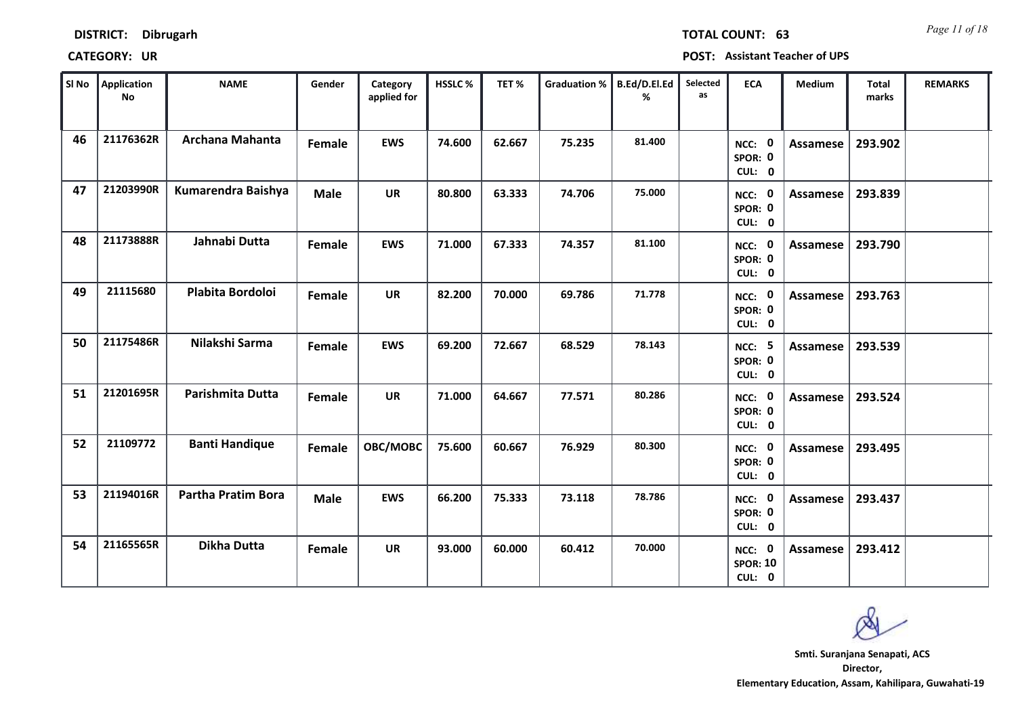| <b>DISTRICT:</b><br><b>Dibrugarh</b> |
|--------------------------------------|
|--------------------------------------|

| SI No | Application<br><b>No</b> | <b>NAME</b>               | Gender      | Category<br>applied for | <b>HSSLC%</b> | TET%   | <b>Graduation %</b> | B.Ed/D.El.Ed<br>% | Selected<br>as | <b>ECA</b>                                 | <b>Medium</b>   | <b>Total</b><br>marks | <b>REMARKS</b> |
|-------|--------------------------|---------------------------|-------------|-------------------------|---------------|--------|---------------------|-------------------|----------------|--------------------------------------------|-----------------|-----------------------|----------------|
| 46    | 21176362R                | Archana Mahanta           | Female      | <b>EWS</b>              | 74.600        | 62.667 | 75.235              | 81.400            |                | NCC: 0<br>SPOR: 0<br>CUL: 0                | <b>Assamese</b> | 293.902               |                |
| 47    | 21203990R                | Kumarendra Baishya        | <b>Male</b> | <b>UR</b>               | 80.800        | 63.333 | 74.706              | 75.000            |                | NCC: 0<br>SPOR: 0<br>CUL: 0                | Assamese        | 293.839               |                |
| 48    | 21173888R                | Jahnabi Dutta             | Female      | <b>EWS</b>              | 71.000        | 67.333 | 74.357              | 81.100            |                | NCC: 0<br>SPOR: 0<br>CUL: 0                | Assamese        | 293.790               |                |
| 49    | 21115680                 | Plabita Bordoloi          | Female      | <b>UR</b>               | 82.200        | 70.000 | 69.786              | 71.778            |                | NCC: 0<br>SPOR: 0<br>CUL: 0                | Assamese        | 293.763               |                |
| 50    | 21175486R                | Nilakshi Sarma            | Female      | <b>EWS</b>              | 69.200        | 72.667 | 68.529              | 78.143            |                | <b>NCC: 5</b><br>SPOR: 0<br>CUL: 0         | Assamese        | 293.539               |                |
| 51    | 21201695R                | Parishmita Dutta          | Female      | <b>UR</b>               | 71.000        | 64.667 | 77.571              | 80.286            |                | NCC: 0<br>SPOR: 0<br>CUL: 0                | <b>Assamese</b> | 293.524               |                |
| 52    | 21109772                 | <b>Banti Handique</b>     | Female      | OBC/MOBC                | 75.600        | 60.667 | 76.929              | 80.300            |                | NCC: 0<br>SPOR: 0<br>CUL: 0                | Assamese        | 293.495               |                |
| 53    | 21194016R                | <b>Partha Pratim Bora</b> | <b>Male</b> | <b>EWS</b>              | 66.200        | 75.333 | 73.118              | 78.786            |                | NCC: 0<br>SPOR: 0<br>CUL: 0                | Assamese        | 293.437               |                |
| 54    | 21165565R                | <b>Dikha Dutta</b>        | Female      | UR                      | 93.000        | 60.000 | 60.412              | 70.000            |                | <b>NCC: 0</b><br><b>SPOR: 10</b><br>CUL: 0 | <b>Assamese</b> | 293.412               |                |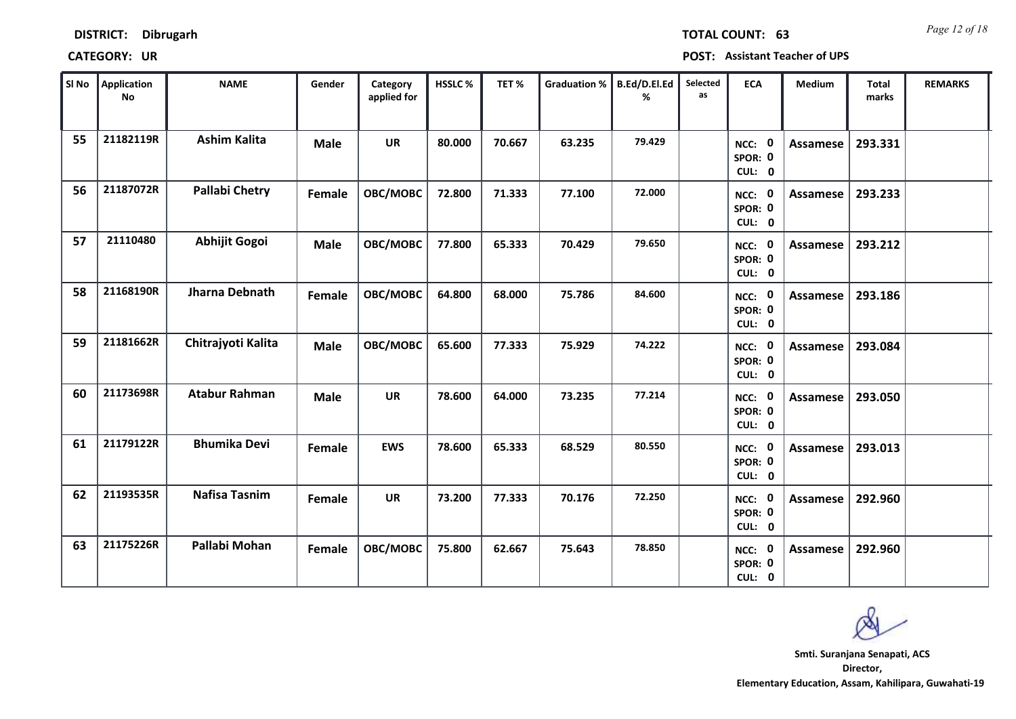| SI No | <b>Application</b><br><b>No</b> | <b>NAME</b>           | Gender        | Category<br>applied for | <b>HSSLC%</b> | TET%   | <b>Graduation %</b> | B.Ed/D.El.Ed<br>% | Selected<br>as | <b>ECA</b>                         | Medium          | <b>Total</b><br>marks | <b>REMARKS</b> |
|-------|---------------------------------|-----------------------|---------------|-------------------------|---------------|--------|---------------------|-------------------|----------------|------------------------------------|-----------------|-----------------------|----------------|
| 55    | 21182119R                       | <b>Ashim Kalita</b>   | <b>Male</b>   | <b>UR</b>               | 80.000        | 70.667 | 63.235              | 79.429            |                | NCC: 0<br>SPOR: 0<br>CUL: 0        | Assamese        | 293.331               |                |
| 56    | 21187072R                       | <b>Pallabi Chetry</b> | Female        | OBC/MOBC                | 72.800        | 71.333 | 77.100              | 72.000            |                | NCC: 0<br>SPOR: 0<br>CUL: 0        | Assamese        | 293.233               |                |
| 57    | 21110480                        | Abhijit Gogoi         | <b>Male</b>   | OBC/MOBC                | 77.800        | 65.333 | 70.429              | 79.650            |                | NCC: 0<br>SPOR: 0<br>CUL: 0        | <b>Assamese</b> | 293.212               |                |
| 58    | 21168190R                       | Jharna Debnath        | Female        | OBC/MOBC                | 64.800        | 68.000 | 75.786              | 84.600            |                | NCC: 0<br>SPOR: 0<br>CUL: 0        | Assamese        | 293.186               |                |
| 59    | 21181662R                       | Chitrajyoti Kalita    | <b>Male</b>   | OBC/MOBC                | 65.600        | 77.333 | 75.929              | 74.222            |                | NCC: 0<br>SPOR: 0<br>CUL: 0        | Assamese        | 293.084               |                |
| 60    | 21173698R                       | <b>Atabur Rahman</b>  | <b>Male</b>   | <b>UR</b>               | 78.600        | 64.000 | 73.235              | 77.214            |                | NCC: 0<br>SPOR: 0<br>CUL: 0        | <b>Assamese</b> | 293.050               |                |
| 61    | 21179122R                       | <b>Bhumika Devi</b>   | <b>Female</b> | <b>EWS</b>              | 78.600        | 65.333 | 68.529              | 80.550            |                | NCC: 0<br>SPOR: 0<br>CUL: 0        | Assamese        | 293.013               |                |
| 62    | 21193535R                       | <b>Nafisa Tasnim</b>  | Female        | <b>UR</b>               | 73.200        | 77.333 | 70.176              | 72.250            |                | <b>NCC: 0</b><br>SPOR: 0<br>CUL: 0 | Assamese        | 292.960               |                |
| 63    | 21175226R                       | Pallabi Mohan         | Female        | OBC/MOBC                | 75.800        | 62.667 | 75.643              | 78.850            |                | NCC: 0<br>SPOR: 0<br>CUL: 0        | <b>Assamese</b> | 292.960               |                |

**DISTRICT: Dibrugarh**

*Page 12 of 18* **TOTAL COUNT: 63**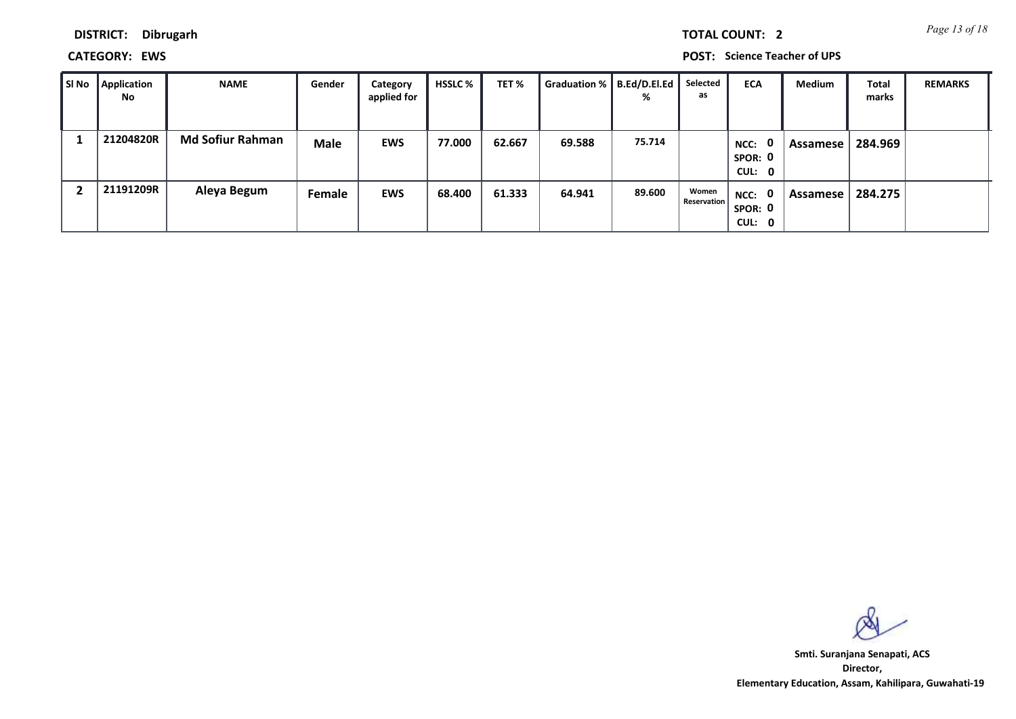*Page 13 of 18* **TOTAL COUNT: 2**

**DISTRICT: Dibrugarh**

**CATEGORY: EWS POST: Science Teacher of UPS**

| ∥ SI No | Application<br>No | <b>NAME</b>             | Gender      | Category<br>applied for | HSSLC % | TET %  | Graduation %   B.Ed/D.El.Ed | %      | Selected<br>as              | <b>ECA</b>                                | Medium     | <b>Total</b><br>marks | <b>REMARKS</b> |
|---------|-------------------|-------------------------|-------------|-------------------------|---------|--------|-----------------------------|--------|-----------------------------|-------------------------------------------|------------|-----------------------|----------------|
|         | 21204820R         | <b>Md Sofiur Rahman</b> | <b>Male</b> | <b>EWS</b>              | 77.000  | 62.667 | 69.588                      | 75.714 |                             | $\mathbf{0}$<br>NCC:<br>SPOR: 0<br>CUL: 0 | . Assamese | 284.969               |                |
|         | 21191209R         | Aleya Begum             | Female      | <b>EWS</b>              | 68.400  | 61.333 | 64.941                      | 89.600 | Women<br><b>Reservation</b> | NCC: 0<br>SPOR: 0<br>CUL: 0               | Assamese   | 284.275               |                |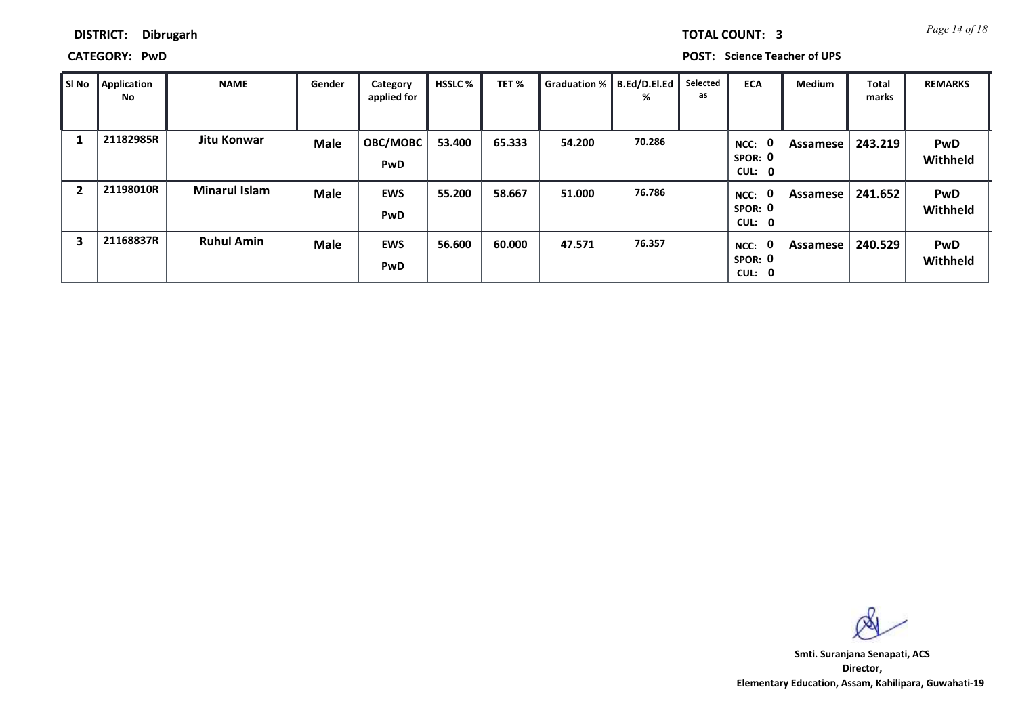*Page 14 of 18* **TOTAL COUNT: 3**

### **DISTRICT: Dibrugarh**

**CATEGORY: PwD POST: Science Teacher of UPS**

| l SI No | Application<br>No | NAME                 | Gender      | Category<br>applied for  | <b>HSSLC</b> % | TET%   | Graduation %   B.Ed/D.El.Ed | %      | Selected<br>as | <b>ECA</b>                     | <b>Medium</b> | <b>Total</b><br>marks | <b>REMARKS</b>         |
|---------|-------------------|----------------------|-------------|--------------------------|----------------|--------|-----------------------------|--------|----------------|--------------------------------|---------------|-----------------------|------------------------|
|         | 21182985R         | Jitu Konwar          | <b>Male</b> | OBC/MOBC<br><b>PwD</b>   | 53.400         | 65.333 | 54.200                      | 70.286 |                | 0<br>NCC:<br>SPOR: 0<br>CUL: 0 | Assamese      | 243.219               | <b>PwD</b><br>Withheld |
| -2      | 21198010R         | <b>Minarul Islam</b> | <b>Male</b> | <b>EWS</b><br><b>PwD</b> | 55.200         | 58.667 | 51.000                      | 76.786 |                | 0<br>NCC:<br>SPOR: 0<br>CUL: 0 | Assamese      | 241.652               | <b>PwD</b><br>Withheld |
| 3       | 21168837R         | <b>Ruhul Amin</b>    | <b>Male</b> | <b>EWS</b><br><b>PwD</b> | 56.600         | 60.000 | 47.571                      | 76.357 |                | 0<br>NCC:<br>SPOR: 0<br>CUL: 0 | Assamese      | 240.529               | <b>PwD</b><br>Withheld |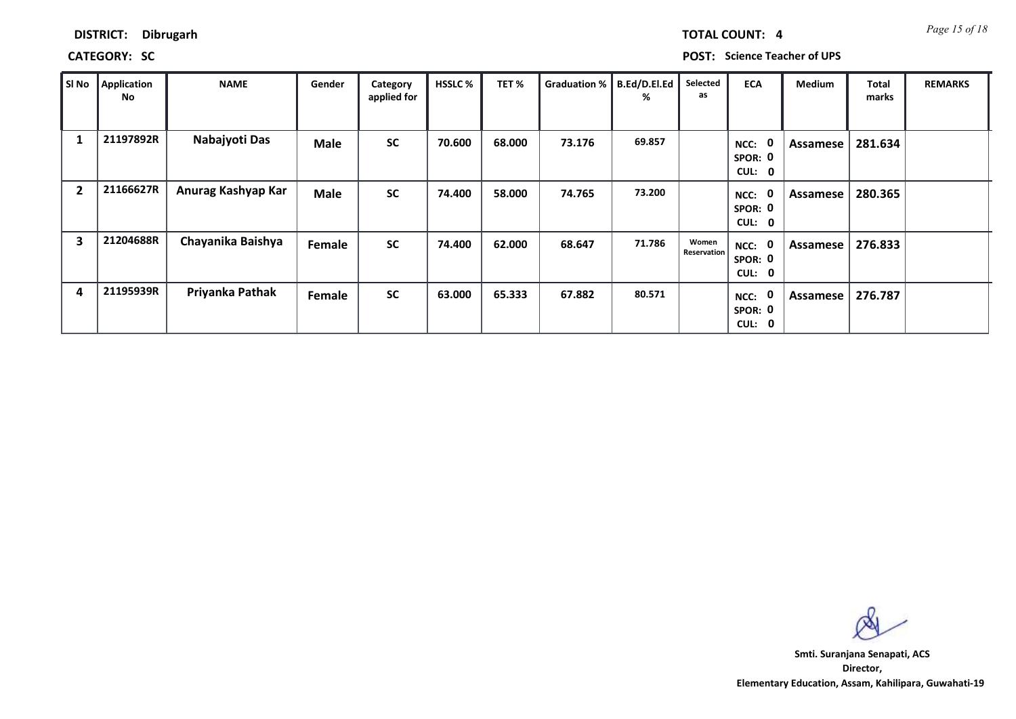## **CATEGORY: SC POST: Science Teacher of UPS**

| Sl No          | <b>Application</b><br>No | <b>NAME</b>        | Gender      | Category<br>applied for | <b>HSSLC%</b> | TET %  | <b>Graduation %</b> | B.Ed/D.El.Ed<br>℅ | Selected<br>as       | <b>ECA</b>                               | Medium   | Total<br>marks | <b>REMARKS</b> |
|----------------|--------------------------|--------------------|-------------|-------------------------|---------------|--------|---------------------|-------------------|----------------------|------------------------------------------|----------|----------------|----------------|
| 1              | 21197892R                | Nabajyoti Das      | <b>Male</b> | <b>SC</b>               | 70.600        | 68.000 | 73.176              | 69.857            |                      | 0<br>NCC:<br>SPOR: 0<br>CUL: 0           | Assamese | 281.634        |                |
| $\overline{2}$ | 21166627R                | Anurag Kashyap Kar | <b>Male</b> | <b>SC</b>               | 74.400        | 58.000 | 74.765              | 73.200            |                      | 0<br>NCC:<br>SPOR: 0<br>CUL: 0           | Assamese | 280.365        |                |
| 3              | 21204688R                | Chayanika Baishya  | Female      | <b>SC</b>               | 74.400        | 62.000 | 68.647              | 71.786            | Women<br>Reservation | $\mathbf 0$<br>NCC:<br>SPOR: 0<br>CUL: 0 | Assamese | 276.833        |                |
| 4              | 21195939R                | Priyanka Pathak    | Female      | <b>SC</b>               | 63.000        | 65.333 | 67.882              | 80.571            |                      | $\mathbf 0$<br>NCC:<br>SPOR: 0<br>CUL: 0 | Assamese | 276.787        |                |

**Director, Elementary Education, Assam, Kahilipara, Guwahati-19 Smti. Suranjana Senapati, ACS**

*Page 15 of 18* **TOTAL COUNT: 4**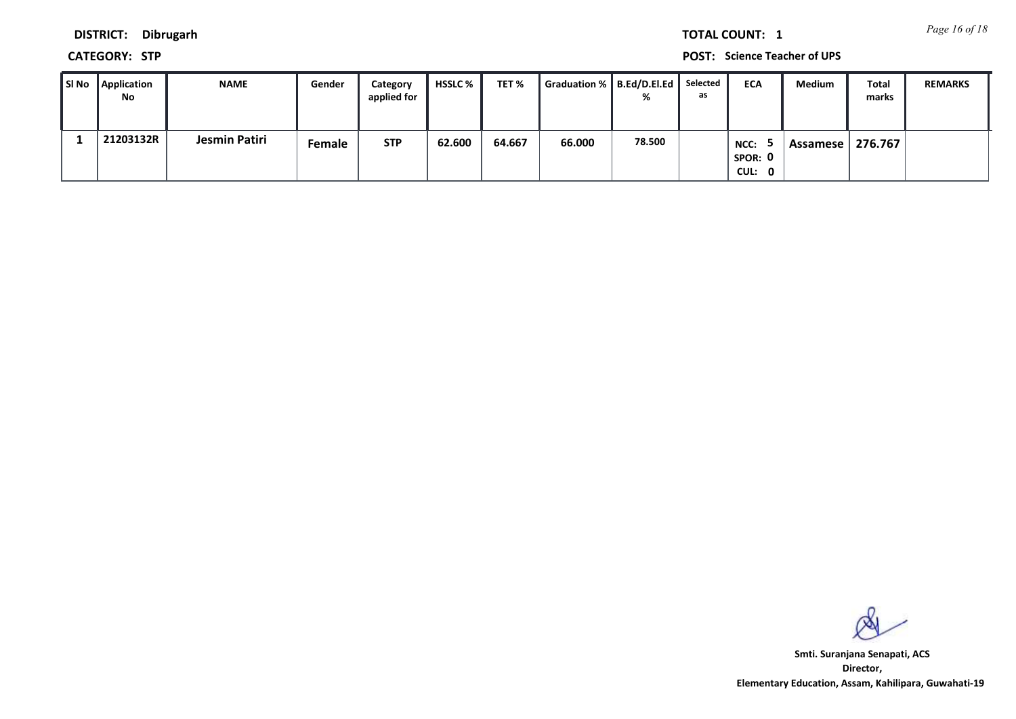*Page 16 of 18* **TOTAL COUNT: 1**

**DISTRICT: Dibrugarh**

**CATEGORY: STP POST: Science Teacher of UPS**

| SI No Application<br>No | <b>NAME</b>   | Gender | Category<br>applied for | HSSLC % | TET %  | Graduation %   B.Ed/D.El.Ed | ℅      | Selected<br>as | <b>ECA</b>                | Medium   | Total<br>marks | <b>REMARKS</b> |
|-------------------------|---------------|--------|-------------------------|---------|--------|-----------------------------|--------|----------------|---------------------------|----------|----------------|----------------|
| 21203132R               | Jesmin Patiri | Female | <b>STP</b>              | 62.600  | 64.667 | 66.000                      | 78.500 |                | NCC:<br>SPOR: 0<br>CUL: 0 | Assamese | 276.767        |                |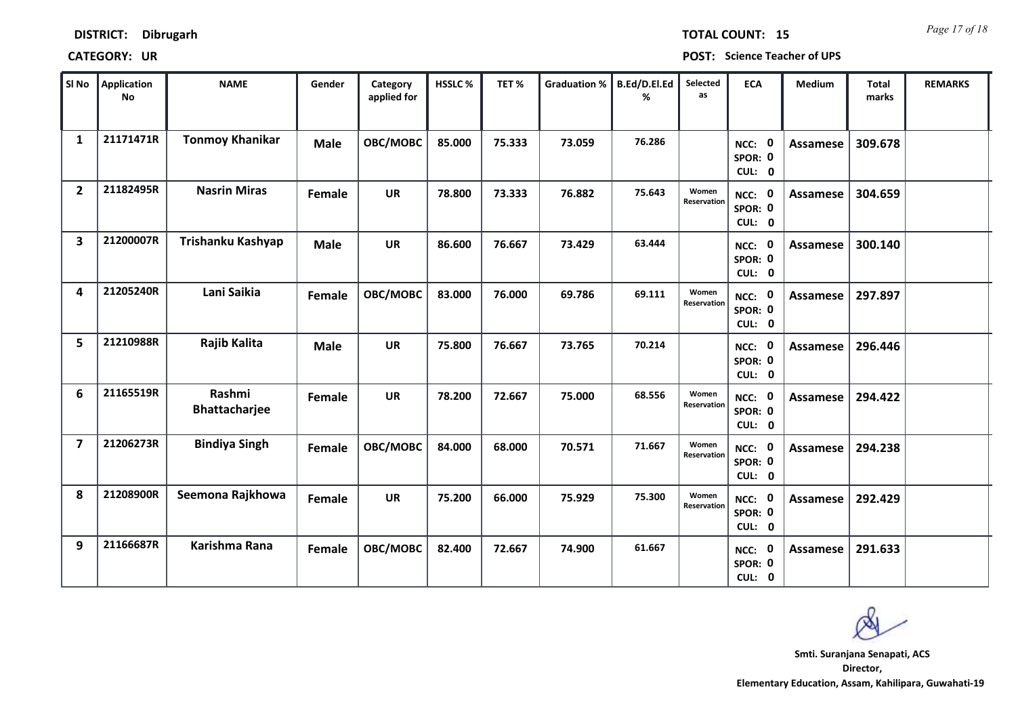| SI No                   | Application<br><b>No</b> | <b>NAME</b>                    | Gender      | Category<br>applied for | HSSLC% | TET%   | Graduation % | B.Ed/D.El.Ed<br>℅ | Selected<br>as       | <b>ECA</b>                         | Medium          | <b>Total</b><br>marks | <b>REMARKS</b> |  |
|-------------------------|--------------------------|--------------------------------|-------------|-------------------------|--------|--------|--------------|-------------------|----------------------|------------------------------------|-----------------|-----------------------|----------------|--|
| $\mathbf{1}$            | 21171471R                | <b>Tonmoy Khanikar</b>         | <b>Male</b> | OBC/MOBC                | 85.000 | 75.333 | 73.059       | 76.286            |                      | NCC: 0<br>SPOR: 0<br>CUL: 0        | Assamese        | 309.678               |                |  |
| $\overline{2}$          | 21182495R                | <b>Nasrin Miras</b>            | Female      | <b>UR</b>               | 78.800 | 73.333 | 76.882       | 75.643            | Women<br>Reservation | NCC: 0<br>SPOR: 0<br>CUL: 0        | Assamese        | 304.659               |                |  |
| $\overline{\mathbf{3}}$ | 21200007R                | Trishanku Kashyap              | <b>Male</b> | <b>UR</b>               | 86.600 | 76.667 | 73.429       | 63.444            |                      | NCC: 0<br>SPOR: 0<br>CUL: 0        | <b>Assamese</b> | 300.140               |                |  |
| 4                       | 21205240R                | Lani Saikia                    | Female      | OBC/MOBC                | 83.000 | 76.000 | 69.786       | 69.111            | Women<br>Reservation | NCC: 0<br>SPOR: 0<br>CUL: 0        | Assamese        | 297.897               |                |  |
| 5                       | 21210988R                | Rajib Kalita                   | <b>Male</b> | <b>UR</b>               | 75.800 | 76.667 | 73.765       | 70.214            |                      | NCC: 0<br>SPOR: 0<br>CUL: 0        | Assamese        | 296.446               |                |  |
| 6                       | 21165519R                | Rashmi<br><b>Bhattacharjee</b> | Female      | <b>UR</b>               | 78.200 | 72.667 | 75.000       | 68.556            | Women<br>Reservation | NCC: 0<br>SPOR: 0<br>CUL: 0        | Assamese        | 294.422               |                |  |
| $\overline{7}$          | 21206273R                | <b>Bindiya Singh</b>           | Female      | OBC/MOBC                | 84.000 | 68.000 | 70.571       | 71.667            | Women<br>Reservation | NCC: 0<br>SPOR: 0<br>CUL: 0        | Assamese        | 294.238               |                |  |
| 8                       | 21208900R                | Seemona Rajkhowa               | Female      | <b>UR</b>               | 75.200 | 66.000 | 75.929       | 75.300            | Women<br>Reservation | <b>NCC: 0</b><br>SPOR: 0<br>CUL: 0 | <b>Assamese</b> | 292.429               |                |  |
| 9                       | 21166687R                | Karishma Rana                  | Female      | OBC/MOBC                | 82.400 | 72.667 | 74.900       | 61.667            |                      | <b>NCC: 0</b><br>SPOR: 0<br>CUL: 0 | Assamese        | 291.633               |                |  |

**DISTRICT: Dibrugarh**

### **CATEGORY: UR POST: Science Teacher of UPS**